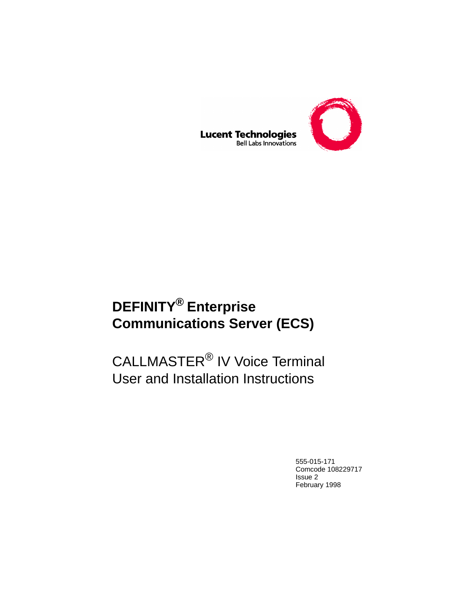

#### **Lucent Technologies Bell Labs Innovations**

# **DEFINITY® Enterprise Communications Server (ECS)**

# CALLMASTER® IV Voice Terminal User and Installation Instructions

555-015-171 Comcode 108229717 Issue 2 February 1998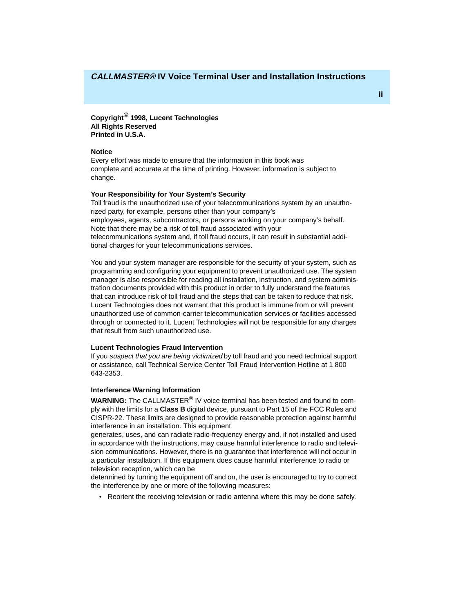**Copyright© 1998, Lucent Technologies All Rights Reserved Printed in U.S.A.**

#### **Notice**

Every effort was made to ensure that the information in this book was complete and accurate at the time of printing. However, information is subject to change.

#### **Your Responsibility for Your System's Security**

Toll fraud is the unauthorized use of your telecommunications system by an unauthorized party, for example, persons other than your company's employees, agents, subcontractors, or persons working on your company's behalf. Note that there may be a risk of toll fraud associated with your telecommunications system and, if toll fraud occurs, it can result in substantial additional charges for your telecommunications services.

You and your system manager are responsible for the security of your system, such as programming and configuring your equipment to prevent unauthorized use. The system manager is also responsible for reading all installation, instruction, and system administration documents provided with this product in order to fully understand the features that can introduce risk of toll fraud and the steps that can be taken to reduce that risk. Lucent Technologies does not warrant that this product is immune from or will prevent unauthorized use of common-carrier telecommunication services or facilities accessed through or connected to it. Lucent Technologies will not be responsible for any charges that result from such unauthorized use.

#### **Lucent Technologies Fraud Intervention**

If you suspect that you are being victimized by toll fraud and you need technical support or assistance, call Technical Service Center Toll Fraud Intervention Hotline at 1 800 643-2353.

#### **Interference Warning Information**

**WARNING:** The CALLMASTER® IV voice terminal has been tested and found to comply with the limits for a **Class B** digital device, pursuant to Part 15 of the FCC Rules and CISPR-22. These limits are designed to provide reasonable protection against harmful interference in an installation. This equipment

generates, uses, and can radiate radio-frequency energy and, if not installed and used in accordance with the instructions, may cause harmful interference to radio and television communications. However, there is no guarantee that interference will not occur in a particular installation. If this equipment does cause harmful interference to radio or television reception, which can be

determined by turning the equipment off and on, the user is encouraged to try to correct the interference by one or more of the following measures:

• Reorient the receiving television or radio antenna where this may be done safely.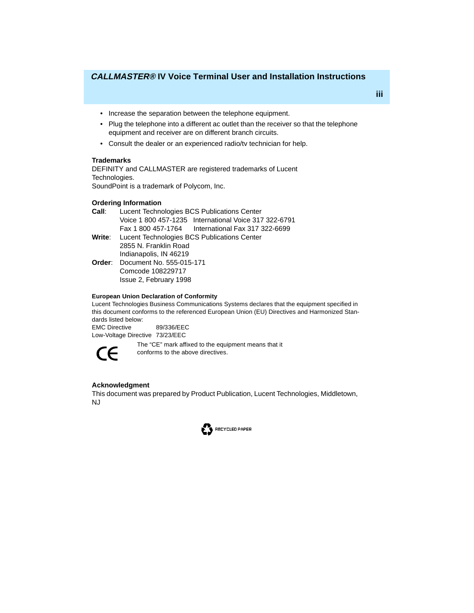- Increase the separation between the telephone equipment.
- Plug the telephone into a different ac outlet than the receiver so that the telephone equipment and receiver are on different branch circuits.
- Consult the dealer or an experienced radio/tv technician for help.

## **Trademarks**

DEFINITY and CALLMASTER are registered trademarks of Lucent Technologies. SoundPoint is a trademark of Polycom, Inc.

### **Ordering Information**

- **Call**: Lucent Technologies BCS Publications Center Voice 1 800 457-1235 International Voice 317 322-6791 Fax 1 800 457-1764 International Fax 317 322-6699
- **Write**: Lucent Technologies BCS Publications Center 2855 N. Franklin Road Indianapolis, IN 46219
- **Order**: Document No. 555-015-171 Comcode 108229717 Issue 2, February 1998

### **European Union Declaration of Conformity**

Lucent Technologies Business Communications Systems declares that the equipment specified in this document conforms to the referenced European Union (EU) Directives and Harmonized Standards listed below:

EMC Directive 89/336/EEC Low-Voltage Directive 73/23/EEC



The "CE" mark affixed to the equipment means that it conforms to the above directives.

## **Acknowledgment**

This document was prepared by Product Publication, Lucent Technologies, Middletown, NJ

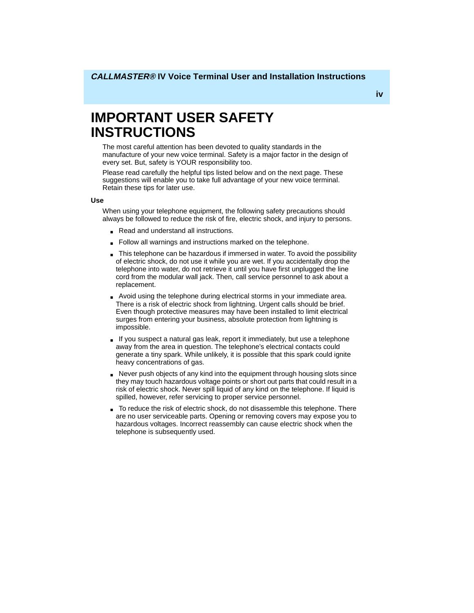# **IMPORTANT USER SAFETY INSTRUCTIONS**

The most careful attention has been devoted to quality standards in the manufacture of your new voice terminal. Safety is a major factor in the design of every set. But, safety is YOUR responsibility too.

Please read carefully the helpful tips listed below and on the next page. These suggestions will enable you to take full advantage of your new voice terminal. Retain these tips for later use.

#### **Use**

When using your telephone equipment, the following safety precautions should always be followed to reduce the risk of fire, electric shock, and injury to persons.

- Read and understand all instructions.
- Follow all warnings and instructions marked on the telephone.
- This telephone can be hazardous if immersed in water. To avoid the possibility of electric shock, do not use it while you are wet. If you accidentally drop the telephone into water, do not retrieve it until you have first unplugged the line cord from the modular wall jack. Then, call service personnel to ask about a replacement.
- Avoid using the telephone during electrical storms in your immediate area. There is a risk of electric shock from lightning. Urgent calls should be brief. Even though protective measures may have been installed to limit electrical surges from entering your business, absolute protection from lightning is impossible.
- If you suspect a natural gas leak, report it immediately, but use a telephone away from the area in question. The telephone's electrical contacts could generate a tiny spark. While unlikely, it is possible that this spark could ignite heavy concentrations of gas.
- Never push objects of any kind into the equipment through housing slots since they may touch hazardous voltage points or short out parts that could result in a risk of electric shock. Never spill liquid of any kind on the telephone. If liquid is spilled, however, refer servicing to proper service personnel.
- To reduce the risk of electric shock, do not disassemble this telephone. There are no user serviceable parts. Opening or removing covers may expose you to hazardous voltages. Incorrect reassembly can cause electric shock when the telephone is subsequently used.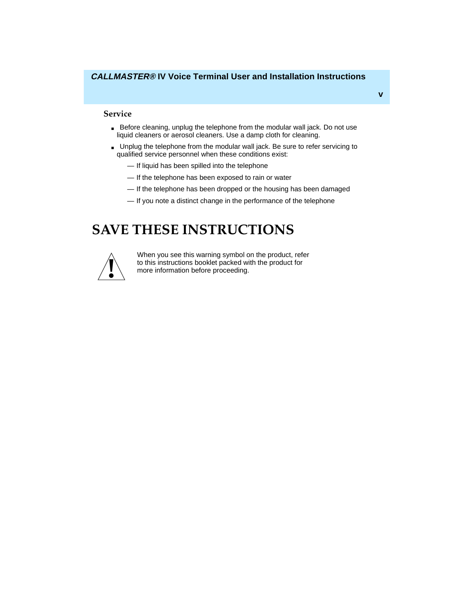#### **Service**

- Before cleaning, unplug the telephone from the modular wall jack. Do not use liquid cleaners or aerosol cleaners. Use a damp cloth for cleaning.
- Unplug the telephone from the modular wall jack. Be sure to refer servicing to qualified service personnel when these conditions exist:
	- If liquid has been spilled into the telephone
	- If the telephone has been exposed to rain or water
	- If the telephone has been dropped or the housing has been damaged
	- If you note a distinct change in the performance of the telephone

# **SAVE THESE INSTRUCTIONS**



When you see this warning symbol on the product, refer to this instructions booklet packed with the product for more information before proceeding.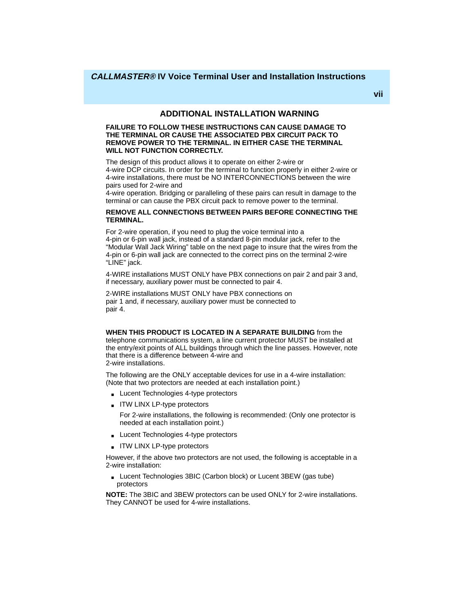# **ADDITIONAL INSTALLATION WARNING**

#### **FAILURE TO FOLLOW THESE INSTRUCTIONS CAN CAUSE DAMAGE TO THE TERMINAL OR CAUSE THE ASSOCIATED PBX CIRCUIT PACK TO REMOVE POWER TO THE TERMINAL. IN EITHER CASE THE TERMINAL WILL NOT FUNCTION CORRECTLY.**

The design of this product allows it to operate on either 2-wire or 4-wire DCP circuits. In order for the terminal to function properly in either 2-wire or 4-wire installations, there must be NO INTERCONNECTIONS between the wire pairs used for 2-wire and

4-wire operation. Bridging or paralleling of these pairs can result in damage to the terminal or can cause the PBX circuit pack to remove power to the terminal.

#### **REMOVE ALL CONNECTIONS BETWEEN PAIRS BEFORE CONNECTING THE TERMINAL.**

For 2-wire operation, if you need to plug the voice terminal into a 4-pin or 6-pin wall jack, instead of a standard 8-pin modular jack, refer to the "Modular Wall Jack Wiring" table on the next page to insure that the wires from the 4-pin or 6-pin wall jack are connected to the correct pins on the terminal 2-wire "LINE" jack.

4-WIRE installations MUST ONLY have PBX connections on pair 2 and pair 3 and, if necessary, auxiliary power must be connected to pair 4.

2-WIRE installations MUST ONLY have PBX connections on pair 1 and, if necessary, auxiliary power must be connected to pair 4.

#### **WHEN THIS PRODUCT IS LOCATED IN A SEPARATE BUILDING** from the

telephone communications system, a line current protector MUST be installed at the entry/exit points of ALL buildings through which the line passes. However, note that there is a difference between 4-wire and 2-wire installations.

The following are the ONLY acceptable devices for use in a 4-wire installation: (Note that two protectors are needed at each installation point.)

- Lucent Technologies 4-type protectors
- ITW LINX LP-type protectors

For 2-wire installations, the following is recommended: (Only one protector is needed at each installation point.)

- Lucent Technologies 4-type protectors
- ITW LINX LP-type protectors

However, if the above two protectors are not used, the following is acceptable in a 2-wire installation:

■ Lucent Technologies 3BIC (Carbon block) or Lucent 3BEW (gas tube) protectors

**NOTE:** The 3BIC and 3BEW protectors can be used ONLY for 2-wire installations. They CANNOT be used for 4-wire installations.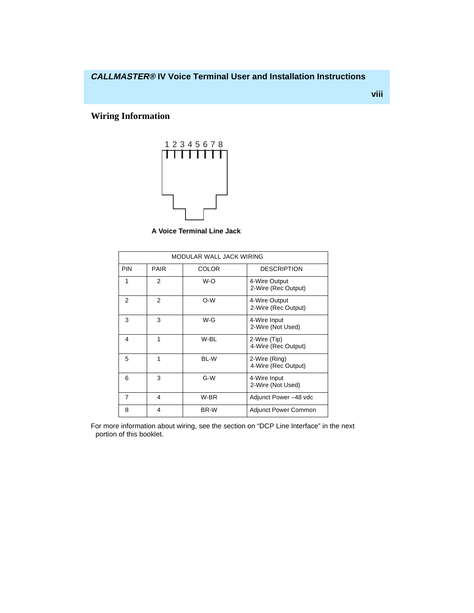**viii**

# **Wiring Information**



 **A Voice Terminal Line Jack**

| MODULAR WALL JACK WIRING |               |              |                                      |
|--------------------------|---------------|--------------|--------------------------------------|
| <b>PIN</b>               | <b>PAIR</b>   | <b>COLOR</b> | <b>DESCRIPTION</b>                   |
| 1                        | 2             | W-O          | 4-Wire Output<br>2-Wire (Rec Output) |
| $\mathcal{P}$            | $\mathcal{P}$ | $O-W$        | 4-Wire Output<br>2-Wire (Rec Output) |
| 3                        | 3             | $W-G$        | 4-Wire Input<br>2-Wire (Not Used)    |
| 4                        | 1             | W-BL         | 2-Wire (Tip)<br>4-Wire (Rec Output)  |
| 5                        | 1             | BL-W         | 2-Wire (Ring)<br>4-Wire (Rec Output) |
| 6                        | 3             | G-W          | 4-Wire Input<br>2-Wire (Not Used)    |
| $\overline{7}$           | 4             | W-BR         | Adjunct Power -48 vdc                |
| 8                        | 4             | BR-W         | <b>Adjunct Power Common</b>          |

For more information about wiring, see the section on "DCP Line Interface" in the next portion of this booklet.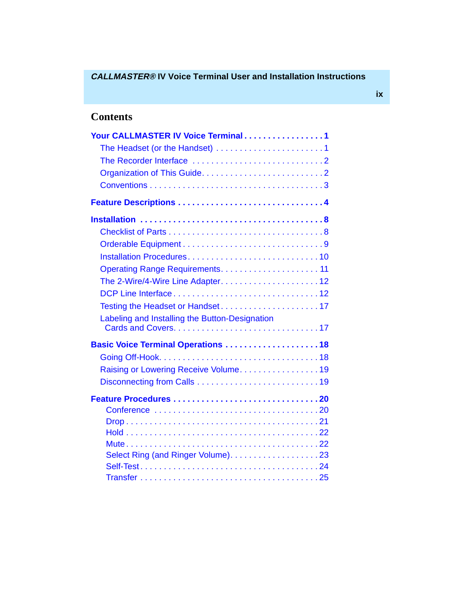# **Contents**

| Your CALLMASTER IV Voice Terminal1             |
|------------------------------------------------|
|                                                |
|                                                |
|                                                |
|                                                |
|                                                |
|                                                |
|                                                |
|                                                |
|                                                |
|                                                |
|                                                |
|                                                |
|                                                |
| Labeling and Installing the Button-Designation |
| Basic Voice Terminal Operations 18             |
|                                                |
| Raising or Lowering Receive Volume19           |
|                                                |
|                                                |
|                                                |
|                                                |
|                                                |
|                                                |
|                                                |
|                                                |
|                                                |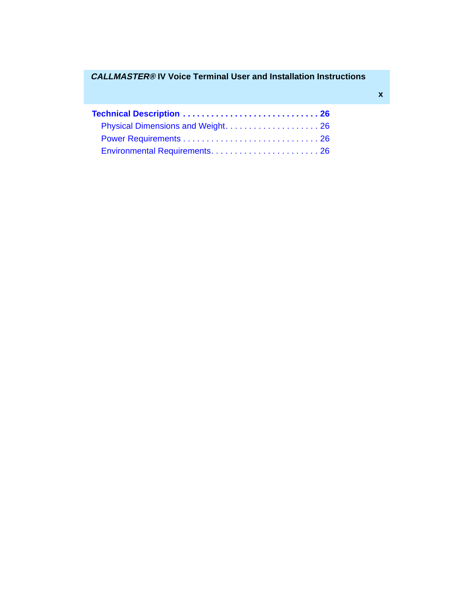| Physical Dimensions and Weight 26 |  |
|-----------------------------------|--|
|                                   |  |
|                                   |  |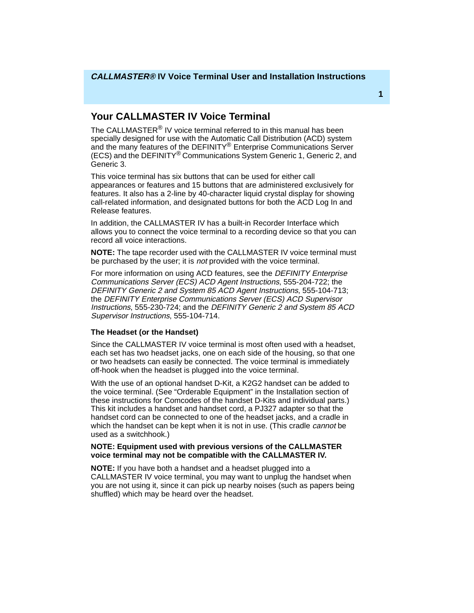# <span id="page-11-0"></span>**Your CALLMASTER IV Voice Terminal**

The CALLMASTER<sup>®</sup> IV voice terminal referred to in this manual has been specially designed for use with the Automatic Call Distribution (ACD) system and the many features of the DEFINITY® Enterprise Communications Server (ECS) and the DEFINITY® Communications System Generic 1, Generic 2, and Generic 3.

This voice terminal has six buttons that can be used for either call appearances or features and 15 buttons that are administered exclusively for features. It also has a 2-line by 40-character liquid crystal display for showing call-related information, and designated buttons for both the ACD Log In and Release features.

In addition, the CALLMASTER IV has a built-in Recorder Interface which allows you to connect the voice terminal to a recording device so that you can record all voice interactions.

**NOTE:** The tape recorder used with the CALLMASTER IV voice terminal must be purchased by the user; it is *not* provided with the voice terminal.

For more information on using ACD features, see the DEFINITY Enterprise Communications Server (ECS) ACD Agent Instructions, 555-204-722; the DEFINITY Generic 2 and System 85 ACD Agent Instructions, 555-104-713; the DEFINITY Enterprise Communications Server (ECS) ACD Supervisor Instructions, 555-230-724; and the DEFINITY Generic 2 and System 85 ACD Supervisor Instructions, 555-104-714.

## **The Headset (or the Handset)**

Since the CALLMASTER IV voice terminal is most often used with a headset, each set has two headset jacks, one on each side of the housing, so that one or two headsets can easily be connected. The voice terminal is immediately off-hook when the headset is plugged into the voice terminal.

With the use of an optional handset D-Kit, a K2G2 handset can be added to the voice terminal. (See "Orderable Equipment" in the Installation section of these instructions for Comcodes of the handset D-Kits and individual parts.) This kit includes a handset and handset cord, a PJ327 adapter so that the handset cord can be connected to one of the headset jacks, and a cradle in which the handset can be kept when it is not in use. (This cradle *cannot* be used as a switchhook.)

#### **NOTE: Equipment used with previous versions of the CALLMASTER voice terminal may not be compatible with the CALLMASTER IV.**

**NOTE:** If you have both a handset and a headset plugged into a CALLMASTER IV voice terminal, you may want to unplug the handset when you are not using it, since it can pick up nearby noises (such as papers being shuffled) which may be heard over the headset.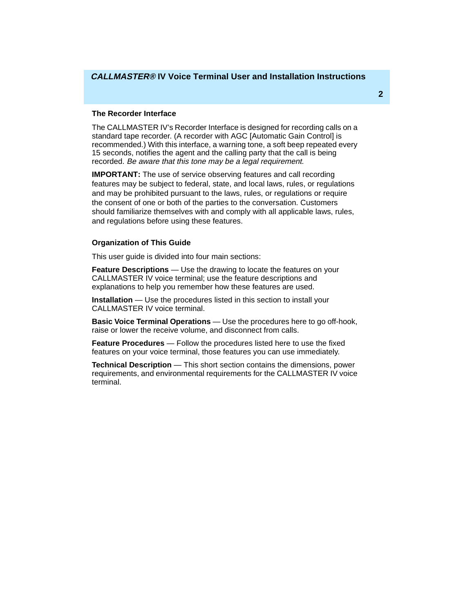#### <span id="page-12-0"></span>**The Recorder Interface**

The CALLMASTER IV's Recorder Interface is designed for recording calls on a standard tape recorder. (A recorder with AGC [Automatic Gain Control] is recommended.) With this interface, a warning tone, a soft beep repeated every 15 seconds, notifies the agent and the calling party that the call is being recorded. Be aware that this tone may be a legal requirement.

**IMPORTANT:** The use of service observing features and call recording features may be subject to federal, state, and local laws, rules, or regulations and may be prohibited pursuant to the laws, rules, or regulations or require the consent of one or both of the parties to the conversation. Customers should familiarize themselves with and comply with all applicable laws, rules, and regulations before using these features.

### **Organization of This Guide**

This user guide is divided into four main sections:

**Feature Descriptions** — Use the drawing to locate the features on your CALLMASTER IV voice terminal; use the feature descriptions and explanations to help you remember how these features are used.

**Installation** — Use the procedures listed in this section to install your CALLMASTER IV voice terminal.

**Basic Voice Terminal Operations** — Use the procedures here to go off-hook, raise or lower the receive volume, and disconnect from calls.

**Feature Procedures** — Follow the procedures listed here to use the fixed features on your voice terminal, those features you can use immediately.

**Technical Description** — This short section contains the dimensions, power requirements, and environmental requirements for the CALLMASTER IV voice terminal.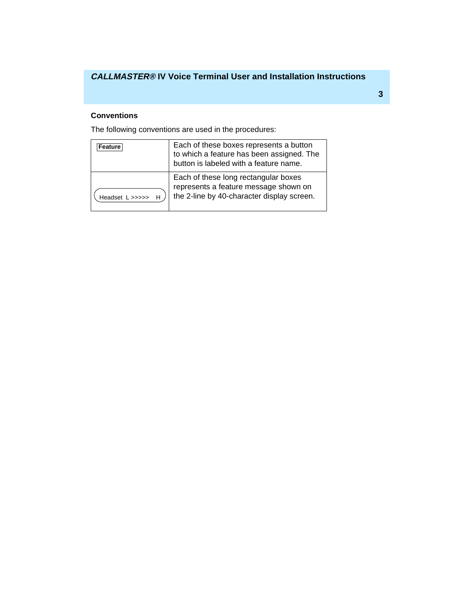## <span id="page-13-0"></span>**Conventions**

The following conventions are used in the procedures:

| Feature           | Each of these boxes represents a button<br>to which a feature has been assigned. The<br>button is labeled with a feature name. |
|-------------------|--------------------------------------------------------------------------------------------------------------------------------|
| Headset L >>>>> H | Each of these long rectangular boxes<br>represents a feature message shown on<br>the 2-line by 40-character display screen.    |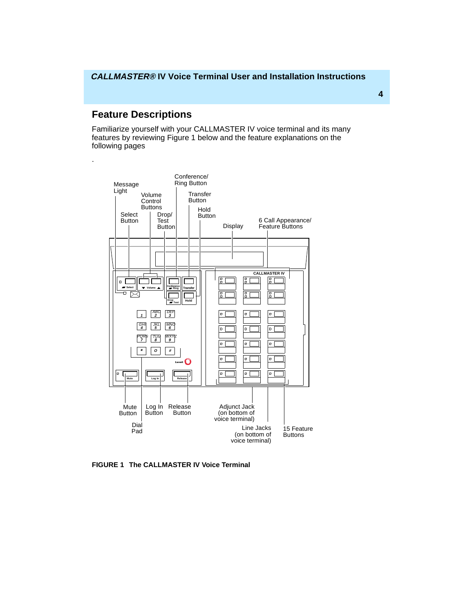# <span id="page-14-0"></span>**Feature Descriptions**

.

Familiarize yourself with your CALLMASTER IV voice terminal and its many features by reviewing Figure 1 below and the feature explanations on the following pages



**FIGURE 1 The CALLMASTER IV Voice Terminal**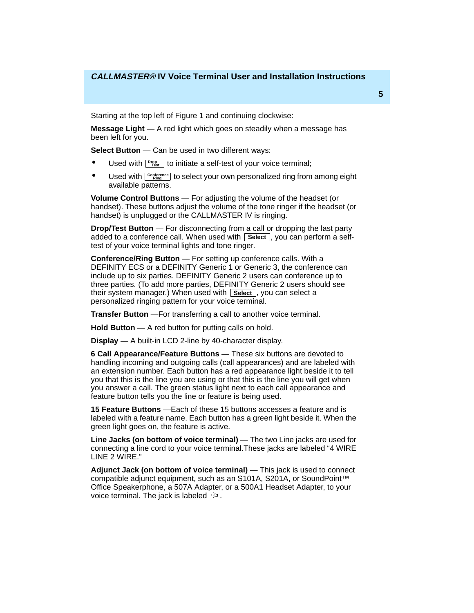Starting at the top left of Figure 1 and continuing clockwise:

**Message Light** — A red light which goes on steadily when a message has been left for you.

**Select Button** — Can be used in two different ways:

- **•** Used with  $\frac{D_{Test}}{D_{test}}$  to initiate a self-test of your voice terminal;
- **•** Used with  $\frac{\text{Conference}}{\text{Ring}}$  to select your own personalized ring from among eight available patterns.

**Volume Control Buttons** — For adjusting the volume of the headset (or handset). These buttons adjust the volume of the tone ringer if the headset (or handset) is unplugged or the CALLMASTER IV is ringing.

**Drop/Test Button** — For disconnecting from a call or dropping the last party added to a conference call. When used with Lselect, you can perform a selftest of your voice terminal lights and tone ringer.

**Conference/Ring Button** — For setting up conference calls. With a DEFINITY ECS or a DEFINITY Generic 1 or Generic 3, the conference can include up to six parties. DEFINITY Generic 2 users can conference up to three parties. (To add more parties, DEFINITY Generic 2 users should see their system manager.) When used with L**Select**, you can select a personalized ringing pattern for your voice terminal.

**Transfer Button** — For transferring a call to another voice terminal.

**Hold Button** — A red button for putting calls on hold.

**Display** — A built-in LCD 2-line by 40-character display.

**6 Call Appearance/Feature Buttons** — These six buttons are devoted to handling incoming and outgoing calls (call appearances) and are labeled with an extension number. Each button has a red appearance light beside it to tell you that this is the line you are using or that this is the line you will get when you answer a call. The green status light next to each call appearance and feature button tells you the line or feature is being used.

**15 Feature Buttons** —Each of these 15 buttons accesses a feature and is labeled with a feature name. Each button has a green light beside it. When the green light goes on, the feature is active.

**Line Jacks (on bottom of voice terminal)** — The two Line jacks are used for connecting a line cord to your voice terminal.These jacks are labeled "4 WIRE LINE 2 WIRE."

**Adjunct Jack (on bottom of voice terminal)** — This jack is used to connect compatible adjunct equipment, such as an S101A, S201A, or SoundPoint™ Office Speakerphone, a 507A Adapter, or a 500A1 Headset Adapter, to your voice terminal. The jack is labeled  $\oplus$ .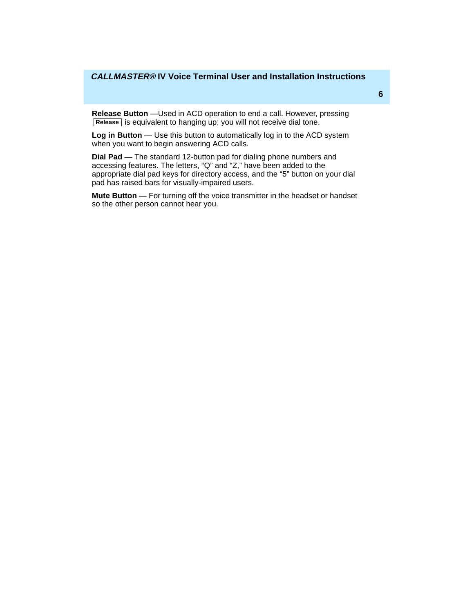**Release Button** —Used in ACD operation to end a call. However, pressing Release is equivalent to hanging up; you will not receive dial tone.

**Log in Button** — Use this button to automatically log in to the ACD system when you want to begin answering ACD calls.

**Dial Pad** — The standard 12-button pad for dialing phone numbers and accessing features. The letters, "Q" and "Z," have been added to the appropriate dial pad keys for directory access, and the "5" button on your dial pad has raised bars for visually-impaired users.

**Mute Button** — For turning off the voice transmitter in the headset or handset so the other person cannot hear you.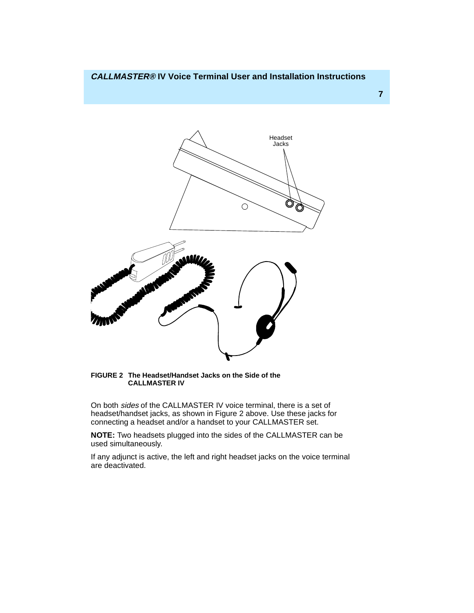**7**



**FIGURE 2 The Headset/Handset Jacks on the Side of the CALLMASTER IV**

On both sides of the CALLMASTER IV voice terminal, there is a set of headset/handset jacks, as shown in Figure 2 above. Use these jacks for connecting a headset and/or a handset to your CALLMASTER set.

**NOTE:** Two headsets plugged into the sides of the CALLMASTER can be used simultaneously.

If any adjunct is active, the left and right headset jacks on the voice terminal are deactivated.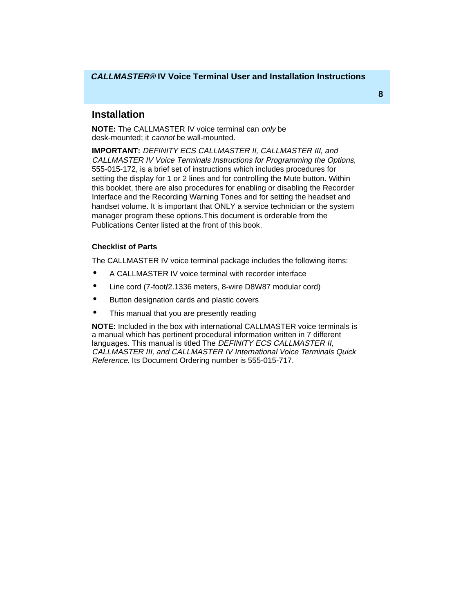# <span id="page-18-0"></span>**Installation**

**NOTE:** The CALLMASTER IV voice terminal can only be desk-mounted; it *cannot* be wall-mounted.

**IMPORTANT:** DEFINITY ECS CALLMASTER II, CALLMASTER III, and CALLMASTER IV Voice Terminals Instructions for Programming the Options, 555-015-172, is a brief set of instructions which includes procedures for setting the display for 1 or 2 lines and for controlling the Mute button. Within this booklet, there are also procedures for enabling or disabling the Recorder Interface and the Recording Warning Tones and for setting the headset and handset volume. It is important that ONLY a service technician or the system manager program these options.This document is orderable from the Publications Center listed at the front of this book.

## **Checklist of Parts**

The CALLMASTER IV voice terminal package includes the following items:

- A CALLMASTER IV voice terminal with recorder interface
- Line cord (7-foot**/**2.1336 meters, 8-wire D8W87 modular cord)
- Button designation cards and plastic covers
- This manual that you are presently reading

**NOTE:** Included in the box with international CALLMASTER voice terminals is a manual which has pertinent procedural information written in 7 different languages. This manual is titled The DEFINITY ECS CALLMASTER II, CALLMASTER III, and CALLMASTER IV International Voice Terminals Quick Reference. Its Document Ordering number is 555-015-717.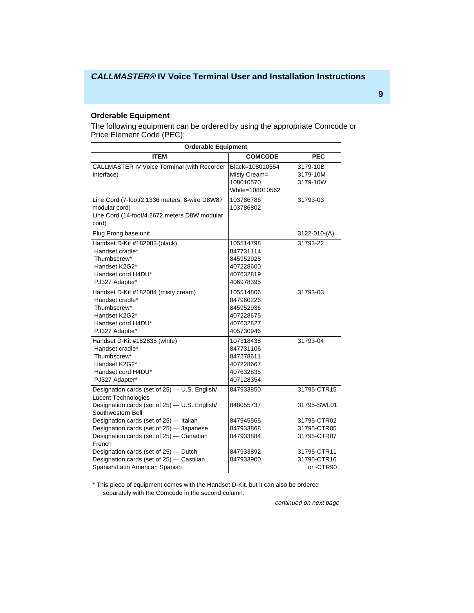## <span id="page-19-0"></span>**Orderable Equipment**

The following equipment can be ordered by using the appropriate Comcode or Price Element Code (PEC):

| <b>Orderable Equipment</b>                                                                                                                        |                                                                            |                                           |  |  |
|---------------------------------------------------------------------------------------------------------------------------------------------------|----------------------------------------------------------------------------|-------------------------------------------|--|--|
| ITEM                                                                                                                                              | <b>COMCODE</b>                                                             | <b>PEC</b>                                |  |  |
| <b>CALLMASTER IV Voice Terminal (with Recorder</b><br>Interface)                                                                                  | Black=108010554<br>Misty Cream=<br>108010570<br>White=108010562            | 3179-10B<br>3179-10M<br>3179-10W          |  |  |
| Line Cord (7-foot/2.1336 meters, 8-wire D8W87<br>modular cord)<br>Line Cord (14-foot/4.2672 meters D8W modular<br>cord)                           | 103786786<br>103786802                                                     | 31793-03                                  |  |  |
| Plug Prong base unit                                                                                                                              |                                                                            | 3122-010-(A)                              |  |  |
| Handset D-Kit #182083 (black)<br>Handset cradle*<br>Thumbscrew*<br>Handset K2G2*<br>Handset cord H4DU*<br>PJ327 Adapter*                          | 105514798<br>847731114<br>845952928<br>407228600<br>407632819<br>406978395 | 31793-22                                  |  |  |
| Handset D-Kit #182084 (misty cream)<br>Handset cradle*<br>Thumbscrew*<br>Handset K2G2*<br>Handset cord H4DU*<br>PJ327 Adapter*                    | 105514806<br>847960226<br>845952936<br>407228675<br>407632827<br>405730946 | 31793-03                                  |  |  |
| Handset D-Kit #182835 (white)<br>Handset cradle*<br>Thumbscrew*<br>Handset K2G2*<br>Handset cord H4DU*<br>PJ327 Adapter*                          | 107318438<br>847731106<br>847278611<br>407228667<br>407632835<br>407128354 | 31793-04                                  |  |  |
| Designation cards (set of 25) - U.S. English/<br><b>Lucent Technologies</b><br>Designation cards (set of 25) - U.S. English/<br>Southwestern Bell | 847933850<br>848055737                                                     | 31795-CTR15<br>31795-SWL01                |  |  |
| Designation cards (set of 25) - Italian<br>Designation cards (set of 25) - Japanese<br>Designation cards (set of 25) - Canadian<br>French         | 847945565<br>847933868<br>847933884                                        | 31795-CTR02<br>31795-CTR05<br>31795-CTR07 |  |  |
| Designation cards (set of 25) - Dutch<br>Designation cards (set of 25) - Castilian<br>Spanish/Latin American Spanish                              | 847933892<br>847933900                                                     | 31795-CTR11<br>31795-CTR16<br>or -CTR90   |  |  |

\* This piece of equipment comes with the Handset D-Kit, but it can also be ordered separately with the Comcode in the second column.

continued on next page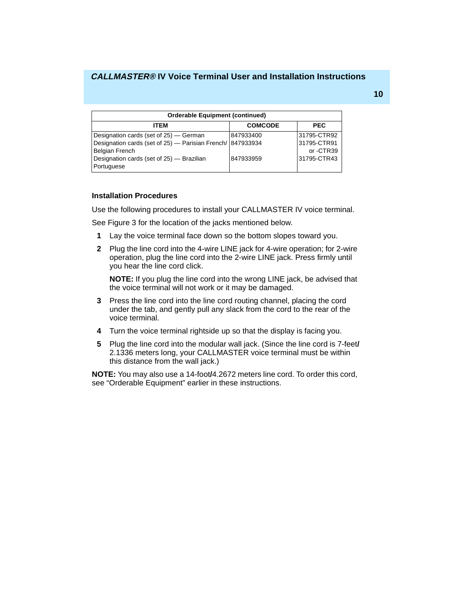<span id="page-20-0"></span>

| <b>Orderable Equipment (continued)</b>                                                                                                                                                   |                        |                                                       |  |
|------------------------------------------------------------------------------------------------------------------------------------------------------------------------------------------|------------------------|-------------------------------------------------------|--|
| <b>ITEM</b>                                                                                                                                                                              | <b>COMCODE</b>         | <b>PEC</b>                                            |  |
| Designation cards (set of 25) – German<br>Designation cards (set of 25) - Parisian French/ 847933934<br><b>Belgian French</b><br>Designation cards (set of 25) - Brazilian<br>Portuguese | 847933400<br>847933959 | 31795-CTR92<br>31795-CTR91<br>or-CTR39<br>31795-CTR43 |  |

#### **Installation Procedures**

Use the following procedures to install your CALLMASTER IV voice terminal.

See Figure 3 for the location of the jacks mentioned below.

- **1** Lay the voice terminal face down so the bottom slopes toward you.
- **2** Plug the line cord into the 4-wire LINE jack for 4-wire operation; for 2-wire operation, plug the line cord into the 2-wire LINE jack. Press firmly until you hear the line cord click.

**NOTE:** If you plug the line cord into the wrong LINE jack, be advised that the voice terminal will not work or it may be damaged.

- **3** Press the line cord into the line cord routing channel, placing the cord under the tab, and gently pull any slack from the cord to the rear of the voice terminal.
- **4** Turn the voice terminal rightside up so that the display is facing you.
- **5** Plug the line cord into the modular wall jack. (Since the line cord is 7-feet**/** 2.1336 meters long, your CALLMASTER voice terminal must be within this distance from the wall jack.)

**NOTE:** You may also use a 14-foot**/**4.2672 meters line cord. To order this cord, see "Orderable Equipment" earlier in these instructions.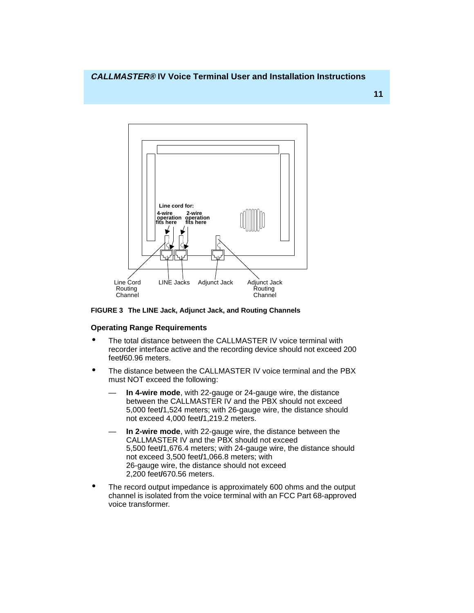<span id="page-21-0"></span>

**FIGURE 3 The LINE Jack, Adjunct Jack, and Routing Channels**

# **Operating Range Requirements**

- The total distance between the CALLMASTER IV voice terminal with recorder interface active and the recording device should not exceed 200 feet**/**60.96 meters.
- The distance between the CALLMASTER IV voice terminal and the PBX must NOT exceed the following:
	- **In 4-wire mode**, with 22-gauge or 24-gauge wire, the distance between the CALLMASTER IV and the PBX should not exceed 5,000 feet**/**1,524 meters; with 26-gauge wire, the distance should not exceed 4,000 feet**/**1,219.2 meters.
	- In 2-wire mode, with 22-gauge wire, the distance between the CALLMASTER IV and the PBX should not exceed 5,500 feet**/**1,676.4 meters; with 24-gauge wire, the distance should not exceed 3,500 feet**/**1,066.8 meters; with 26-gauge wire, the distance should not exceed 2,200 feet**/**670.56 meters.
- The record output impedance is approximately 600 ohms and the output channel is isolated from the voice terminal with an FCC Part 68-approved voice transformer.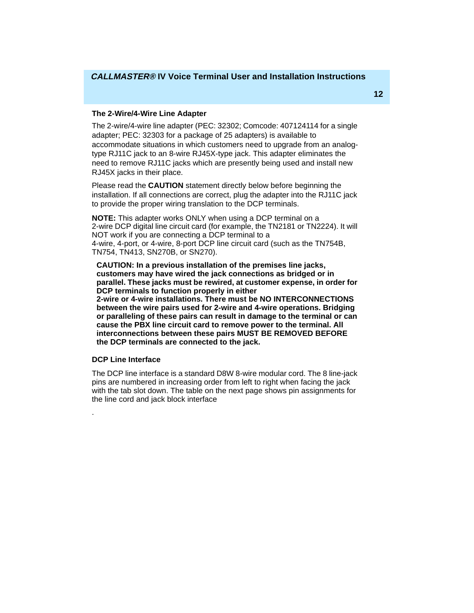#### <span id="page-22-0"></span>**The 2-Wire/4-Wire Line Adapter**

The 2-wire/4-wire line adapter (PEC: 32302; Comcode: 407124114 for a single adapter; PEC: 32303 for a package of 25 adapters) is available to accommodate situations in which customers need to upgrade from an analogtype RJ11C jack to an 8-wire RJ45X-type jack. This adapter eliminates the need to remove RJ11C jacks which are presently being used and install new RJ45X jacks in their place.

Please read the **CAUTION** statement directly below before beginning the installation. If all connections are correct, plug the adapter into the RJ11C jack to provide the proper wiring translation to the DCP terminals.

**NOTE:** This adapter works ONLY when using a DCP terminal on a 2-wire DCP digital line circuit card (for example, the TN2181 or TN2224). It will NOT work if you are connecting a DCP terminal to a 4-wire, 4-port, or 4-wire, 8-port DCP line circuit card (such as the TN754B, TN754, TN413, SN270B, or SN270).

**CAUTION: In a previous installation of the premises line jacks, customers may have wired the jack connections as bridged or in parallel. These jacks must be rewired, at customer expense, in order for DCP terminals to function properly in either** 

**2-wire or 4-wire installations. There must be NO INTERCONNECTIONS between the wire pairs used for 2-wire and 4-wire operations. Bridging or paralleling of these pairs can result in damage to the terminal or can cause the PBX line circuit card to remove power to the terminal. All interconnections between these pairs MUST BE REMOVED BEFORE the DCP terminals are connected to the jack.**

#### **DCP Line Interface**

.

The DCP line interface is a standard D8W 8-wire modular cord. The 8 line-jack pins are numbered in increasing order from left to right when facing the jack with the tab slot down. The table on the next page shows pin assignments for the line cord and jack block interface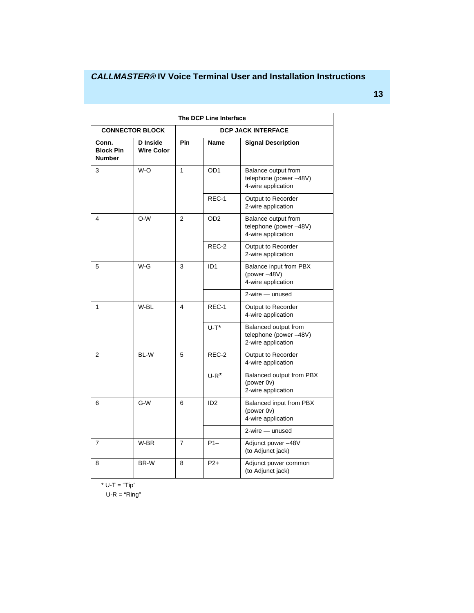| The DCP Line Interface                     |                                      |                           |                 |                                                                     |
|--------------------------------------------|--------------------------------------|---------------------------|-----------------|---------------------------------------------------------------------|
| <b>CONNECTOR BLOCK</b>                     |                                      | <b>DCP JACK INTERFACE</b> |                 |                                                                     |
| Conn.<br><b>Block Pin</b><br><b>Number</b> | <b>D</b> Inside<br><b>Wire Color</b> | Pin                       | <b>Name</b>     | <b>Signal Description</b>                                           |
| 3                                          | W-O                                  | 1                         | OD <sub>1</sub> | Balance output from<br>telephone (power-48V)<br>4-wire application  |
|                                            |                                      |                           | REC-1           | Output to Recorder<br>2-wire application                            |
| 4                                          | O-W                                  | $\overline{2}$            | OD <sub>2</sub> | Balance output from<br>telephone (power-48V)<br>4-wire application  |
|                                            |                                      |                           | REC-2           | Output to Recorder<br>2-wire application                            |
| 5                                          | $W-G$                                | 3                         | ID <sub>1</sub> | Balance input from PBX<br>(power -48V)<br>4-wire application        |
|                                            |                                      |                           |                 | $2$ -wire $-$ unused                                                |
| 1                                          | W-BL                                 | $\overline{4}$            | REC-1           | Output to Recorder<br>4-wire application                            |
|                                            |                                      |                           | $U-T^*$         | Balanced output from<br>telephone (power-48V)<br>2-wire application |
| 2                                          | BL-W                                 | 5                         | REC-2           | Output to Recorder<br>4-wire application                            |
|                                            |                                      |                           | $U-R^*$         | Balanced output from PBX<br>(power 0v)<br>2-wire application        |
| 6                                          | G-W                                  | 6                         | ID <sub>2</sub> | Balanced input from PBX<br>(power 0v)<br>4-wire application         |
|                                            |                                      |                           |                 | 2-wire - unused                                                     |
| 7                                          | W-BR                                 | $\overline{7}$            | $P1-$           | Adjunct power -48V<br>(to Adjunct jack)                             |
| 8                                          | BR-W                                 | 8                         | $P2+$           | Adjunct power common<br>(to Adjunct jack)                           |

\* U-T = "Tip"

 $U-R = "Ring"$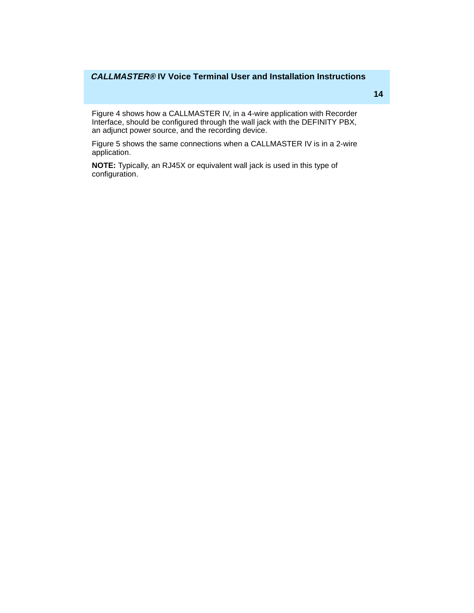Figure 4 shows how a CALLMASTER IV, in a 4-wire application with Recorder Interface, should be configured through the wall jack with the DEFINITY PBX, an adjunct power source, and the recording device.

Figure 5 shows the same connections when a CALLMASTER IV is in a 2-wire application.

**NOTE:** Typically, an RJ45X or equivalent wall jack is used in this type of configuration.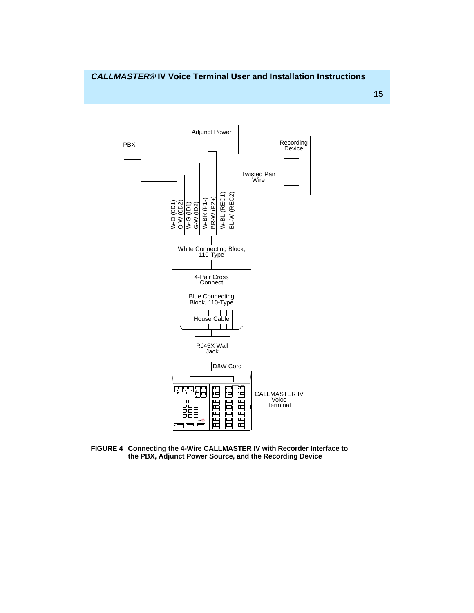

**FIGURE 4 Connecting the 4-Wire CALLMASTER IV with Recorder Interface to the PBX, Adjunct Power Source, and the Recording Device**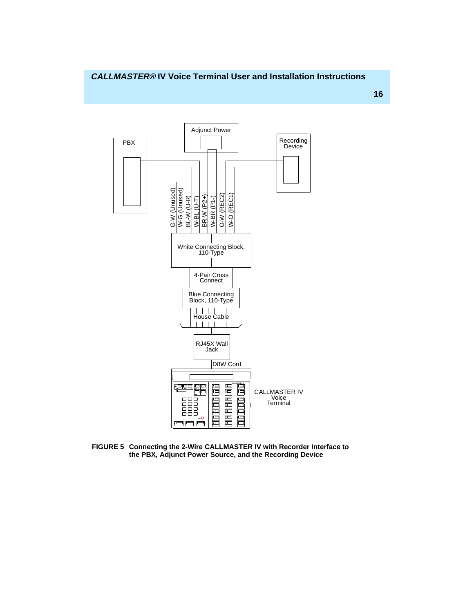

**FIGURE 5 Connecting the 2-Wire CALLMASTER IV with Recorder Interface to the PBX, Adjunct Power Source, and the Recording Device**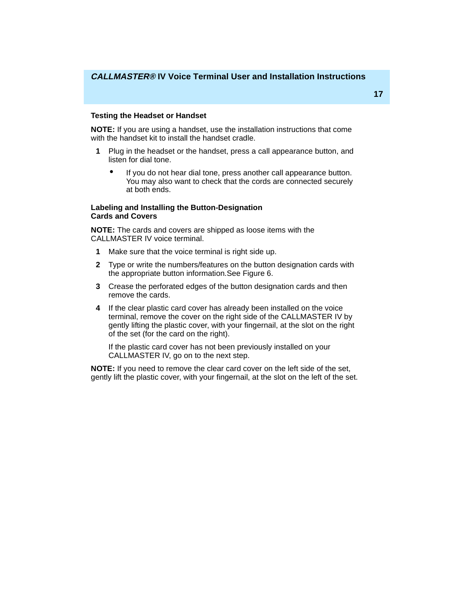#### <span id="page-27-0"></span>**Testing the Headset or Handset**

**NOTE:** If you are using a handset, use the installation instructions that come with the handset kit to install the handset cradle.

- **1** Plug in the headset or the handset, press a call appearance button, and listen for dial tone.
	- If you do not hear dial tone, press another call appearance button. You may also want to check that the cords are connected securely at both ends.

#### **Labeling and Installing the Button-Designation Cards and Covers**

**NOTE:** The cards and covers are shipped as loose items with the CALLMASTER IV voice terminal.

- **1** Make sure that the voice terminal is right side up.
- **2** Type or write the numbers/features on the button designation cards with the appropriate button information.See Figure 6.
- **3** Crease the perforated edges of the button designation cards and then remove the cards.
- **4** If the clear plastic card cover has already been installed on the voice terminal, remove the cover on the right side of the CALLMASTER IV by gently lifting the plastic cover, with your fingernail, at the slot on the right of the set (for the card on the right).

If the plastic card cover has not been previously installed on your CALLMASTER IV, go on to the next step.

**NOTE:** If you need to remove the clear card cover on the left side of the set, gently lift the plastic cover, with your fingernail, at the slot on the left of the set.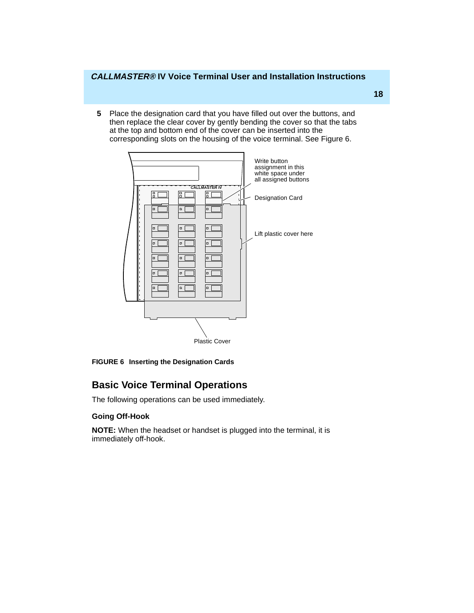<span id="page-28-0"></span>**5** Place the designation card that you have filled out over the buttons, and then replace the clear cover by gently bending the cover so that the tabs at the top and bottom end of the cover can be inserted into the corresponding slots on the housing of the voice terminal. See Figure 6.



**FIGURE 6 Inserting the Designation Cards**

# **Basic Voice Terminal Operations**

The following operations can be used immediately.

## **Going Off-Hook**

**NOTE:** When the headset or handset is plugged into the terminal, it is immediately off-hook.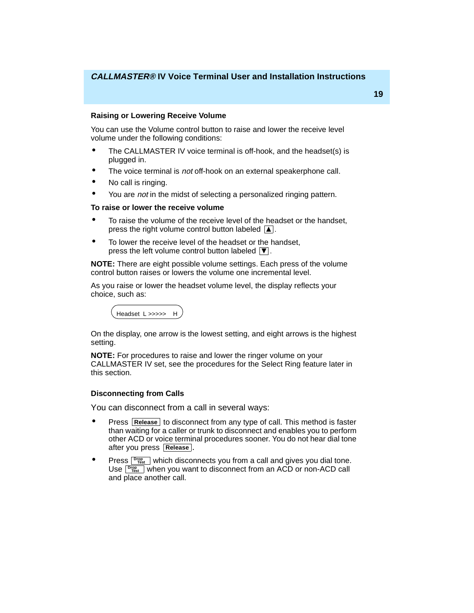# <span id="page-29-0"></span>**Raising or Lowering Receive Volume**

You can use the Volume control button to raise and lower the receive level volume under the following conditions:

- The CALLMASTER IV voice terminal is off-hook, and the headset(s) is plugged in.
- The voice terminal is not off-hook on an external speakerphone call.
- No call is ringing.
- You are *not* in the midst of selecting a personalized ringing pattern.

# **To raise or lower the receive volume**

- To raise the volume of the receive level of the headset or the handset, press the right volume control button labeled  $\blacksquare$ .
- To lower the receive level of the headset or the handset, press the left volume control button labeled  $|\nabla|$ .

**NOTE:** There are eight possible volume settings. Each press of the volume control button raises or lowers the volume one incremental level.

As you raise or lower the headset volume level, the display reflects your choice, such as:



On the display, one arrow is the lowest setting, and eight arrows is the highest setting.

**NOTE:** For procedures to raise and lower the ringer volume on your CALLMASTER IV set, see the procedures for the Select Ring feature later in this section.

# **Disconnecting from Calls**

You can disconnect from a call in several ways:

- **•** Press **Release** to disconnect from any type of call. This method is faster than waiting for a caller or trunk to disconnect and enables you to perform other ACD or voice terminal procedures sooner. You do not hear dial tone after you press **. Release**
- **•** Press **Drop** which disconnects you from a call and gives you dial tone. Use  $\frac{D_{Test}}{D_{test}}$  when you want to disconnect from an ACD or non-ACD call and place another call.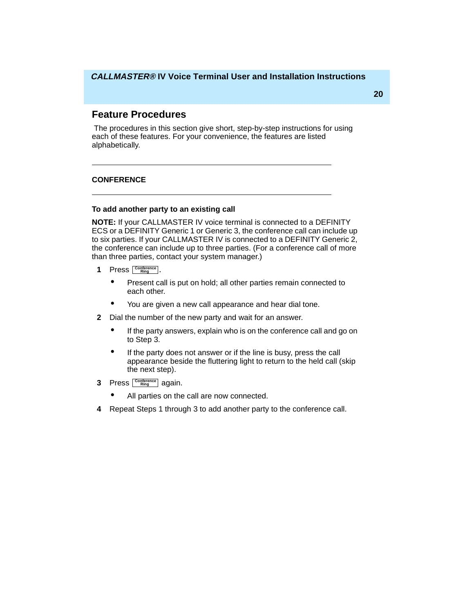# <span id="page-30-0"></span>**Feature Procedures**

 The procedures in this section give short, step-by-step instructions for using each of these features. For your convenience, the features are listed alphabetically.

## **CONFERENCE**

#### **To add another party to an existing call**

**NOTE:** If your CALLMASTER IV voice terminal is connected to a DEFINITY ECS or a DEFINITY Generic 1 or Generic 3, the conference call can include up to six parties. If your CALLMASTER IV is connected to a DEFINITY Generic 2, the conference can include up to three parties. (For a conference call of more than three parties, contact your system manager.)

- **1** Press **<u>Conference</u>**.
	- Present call is put on hold; all other parties remain connected to each other.
	- You are given a new call appearance and hear dial tone.
- **2** Dial the number of the new party and wait for an answer.
	- If the party answers, explain who is on the conference call and go on to Step 3.
	- If the party does not answer or if the line is busy, press the call appearance beside the fluttering light to return to the held call (skip the next step).
- **3** Press **Conference** again.
	- All parties on the call are now connected.
- **4** Repeat Steps 1 through 3 to add another party to the conference call.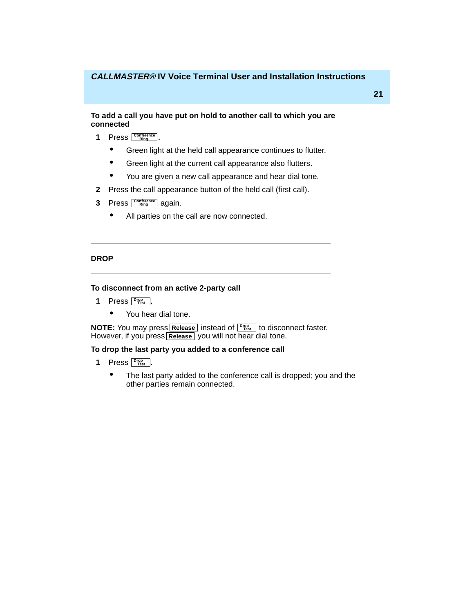#### <span id="page-31-0"></span>**To add a call you have put on hold to another call to which you are connected**

- **1** Press **<u>Conference</u>**.
	- Green light at the held call appearance continues to flutter.
	- Green light at the current call appearance also flutters.
	- You are given a new call appearance and hear dial tone.
- **2** Press the call appearance button of the held call (first call).
- **3** Press  $\frac{\text{Confference}}{\text{Ring}}$  again.
	- All parties on the call are now connected.

### **DROP**

#### **To disconnect from an active 2-party call**

- **1** Press **Drop Figure** 
	- You hear dial tone.

**NOTE:** You may press **Release** instead of  $\frac{p_{\text{reg.}}}{p_{\text{est.}}}$  to disconnect faster. However, if you press Release you will not hear dial tone.

#### **To drop the last party you added to a conference call**

- **1** Press **Prop** .
	- The last party added to the conference call is dropped; you and the other parties remain connected.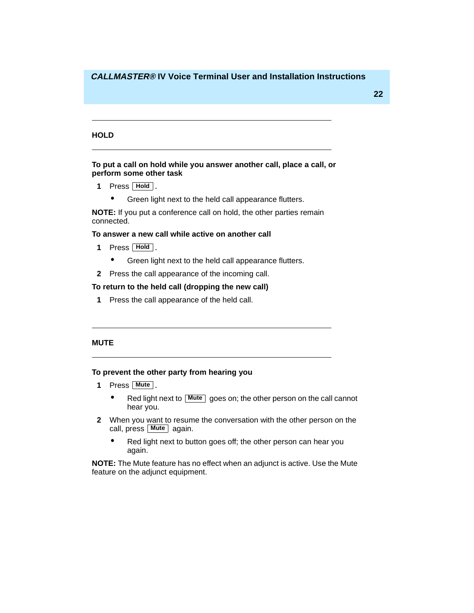#### <span id="page-32-0"></span>**HOLD**

#### **To put a call on hold while you answer another call, place a call, or perform some other task**

- **1** Press **Hold**.
	- Green light next to the held call appearance flutters.

**NOTE:** If you put a conference call on hold, the other parties remain connected.

#### **To answer a new call while active on another call**

- **1** Press **Hold**.
	- Green light next to the held call appearance flutters.
- **2** Press the call appearance of the incoming call.

## **To return to the held call (dropping the new call)**

**1** Press the call appearance of the held call.

#### **MUTE**

#### **To prevent the other party from hearing you**

- **1** Press **. Mute**
	- Red light next to **Mute** goes on; the other person on the call cannot hear you.
- **2** When you want to resume the conversation with the other person on the call, press **Mute** again.
	- Red light next to button goes off; the other person can hear you again.

**NOTE:** The Mute feature has no effect when an adjunct is active. Use the Mute feature on the adjunct equipment.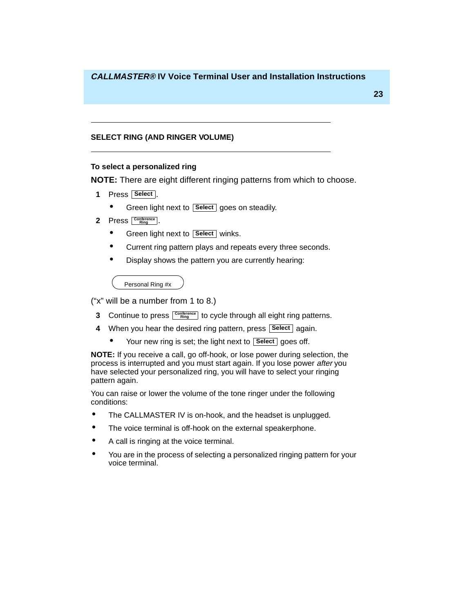## <span id="page-33-0"></span>**SELECT RING (AND RINGER VOLUME)**

#### **To select a personalized ring**

**NOTE:** There are eight different ringing patterns from which to choose.

- **1** Press **Select** .
	- **•** Green light next to **Select** goes on steadily.
- **2** Press **<u>Conference</u>**.
	- **•** Green light next to **Select** winks.
	- Current ring pattern plays and repeats every three seconds.
	- Display shows the pattern you are currently hearing:

Personal Ring #x

("x" will be a number from 1 to 8.)

- **3** Continue to press  $\frac{\text{Confference}}{\text{Ring}}$  to cycle through all eight ring patterns.
- 4 When you hear the desired ring pattern, press **Select** again.
	- Your new ring is set; the light next to **Select** goes off.

**NOTE:** If you receive a call, go off-hook, or lose power during selection, the process is interrupted and you must start again. If you lose power after you have selected your personalized ring, you will have to select your ringing pattern again.

You can raise or lower the volume of the tone ringer under the following conditions:

- The CALLMASTER IV is on-hook, and the headset is unplugged.
- The voice terminal is off-hook on the external speakerphone.
- A call is ringing at the voice terminal.
- You are in the process of selecting a personalized ringing pattern for your voice terminal.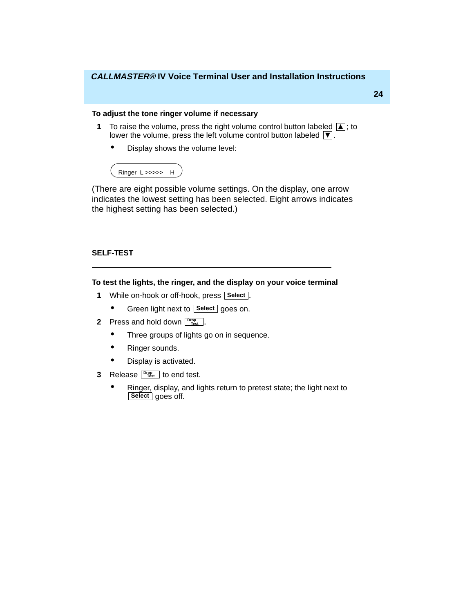# <span id="page-34-0"></span>**To adjust the tone ringer volume if necessary**

- **1** To raise the volume, press the right volume control button labeled  $\boxed{\blacktriangle}$ ; to lower the volume, press the left volume control button labeled  $\boxed{\blacktriangledown}$ .
	- Display shows the volume level:



(There are eight possible volume settings. On the display, one arrow indicates the lowest setting has been selected. Eight arrows indicates the highest setting has been selected.)

#### **SELF-TEST**

## **To test the lights, the ringer, and the display on your voice terminal**

- **1** While on-hook or off-hook, press **Select**.
	- **•** Green light next to **Select** goes on.
- **2** Press and hold down  $\frac{p_{\text{top}}}{p_{\text{test}}}.$ 
	- Three groups of lights go on in sequence.
	- Ringer sounds.
	- Display is activated.
- **3** Release <u>Fire</u> to end test.
	- Ringer, display, and lights return to pretest state; the light next to Select goes off.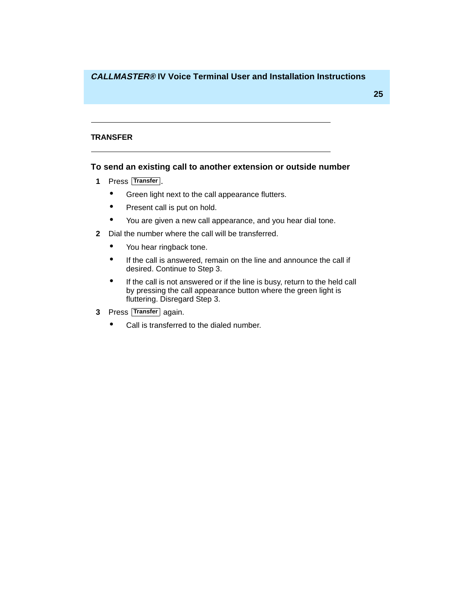#### <span id="page-35-0"></span>**TRANSFER**

### **To send an existing call to another extension or outside number**

- **1** Press **Transfer**.
	- Green light next to the call appearance flutters.
	- Present call is put on hold.
	- You are given a new call appearance, and you hear dial tone.
- **2** Dial the number where the call will be transferred.
	- You hear ringback tone.
	- If the call is answered, remain on the line and announce the call if desired. Continue to Step 3.
	- If the call is not answered or if the line is busy, return to the held call by pressing the call appearance button where the green light is fluttering. Disregard Step 3.
- **3** Press Transfer again.
	- Call is transferred to the dialed number.